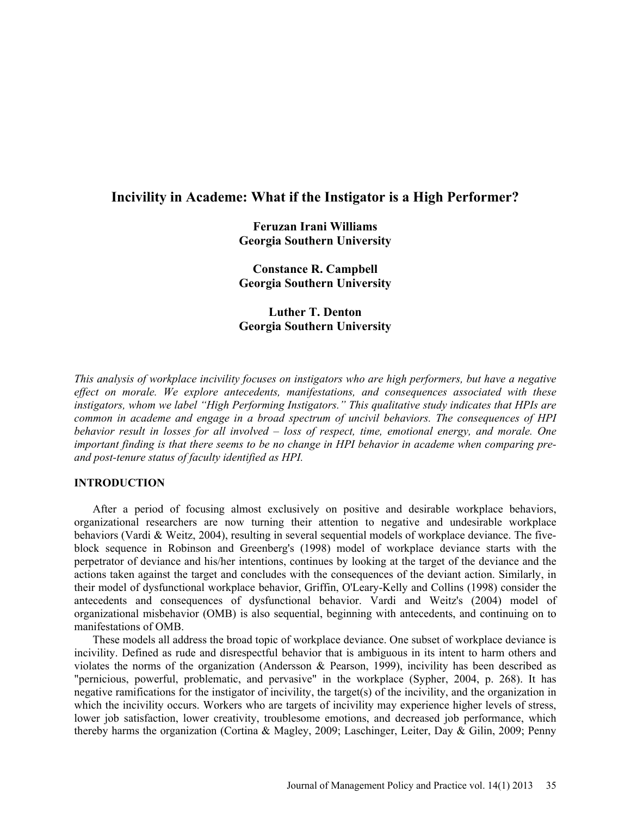# **Incivility in Academe: What if the Instigator is a High Performer?**

**Feruzan Irani Williams Georgia Southern University** 

**Constance R. Campbell Georgia Southern University** 

**Luther T. Denton Georgia Southern University** 

*This analysis of workplace incivility focuses on instigators who are high performers, but have a negative effect on morale. We explore antecedents, manifestations, and consequences associated with these instigators, whom we label "High Performing Instigators." This qualitative study indicates that HPIs are common in academe and engage in a broad spectrum of uncivil behaviors. The consequences of HPI behavior result in losses for all involved – loss of respect, time, emotional energy, and morale. One important finding is that there seems to be no change in HPI behavior in academe when comparing preand post-tenure status of faculty identified as HPI.*

## **INTRODUCTION**

After a period of focusing almost exclusively on positive and desirable workplace behaviors, organizational researchers are now turning their attention to negative and undesirable workplace behaviors (Vardi & Weitz, 2004), resulting in several sequential models of workplace deviance. The fiveblock sequence in Robinson and Greenberg's (1998) model of workplace deviance starts with the perpetrator of deviance and his/her intentions, continues by looking at the target of the deviance and the actions taken against the target and concludes with the consequences of the deviant action. Similarly, in their model of dysfunctional workplace behavior, Griffin, O'Leary-Kelly and Collins (1998) consider the antecedents and consequences of dysfunctional behavior. Vardi and Weitz's (2004) model of organizational misbehavior (OMB) is also sequential, beginning with antecedents, and continuing on to manifestations of OMB.

These models all address the broad topic of workplace deviance. One subset of workplace deviance is incivility. Defined as rude and disrespectful behavior that is ambiguous in its intent to harm others and violates the norms of the organization (Andersson & Pearson, 1999), incivility has been described as "pernicious, powerful, problematic, and pervasive" in the workplace (Sypher, 2004, p. 268). It has negative ramifications for the instigator of incivility, the target(s) of the incivility, and the organization in which the incivility occurs. Workers who are targets of incivility may experience higher levels of stress, lower job satisfaction, lower creativity, troublesome emotions, and decreased job performance, which thereby harms the organization (Cortina & Magley, 2009; Laschinger, Leiter, Day & Gilin, 2009; Penny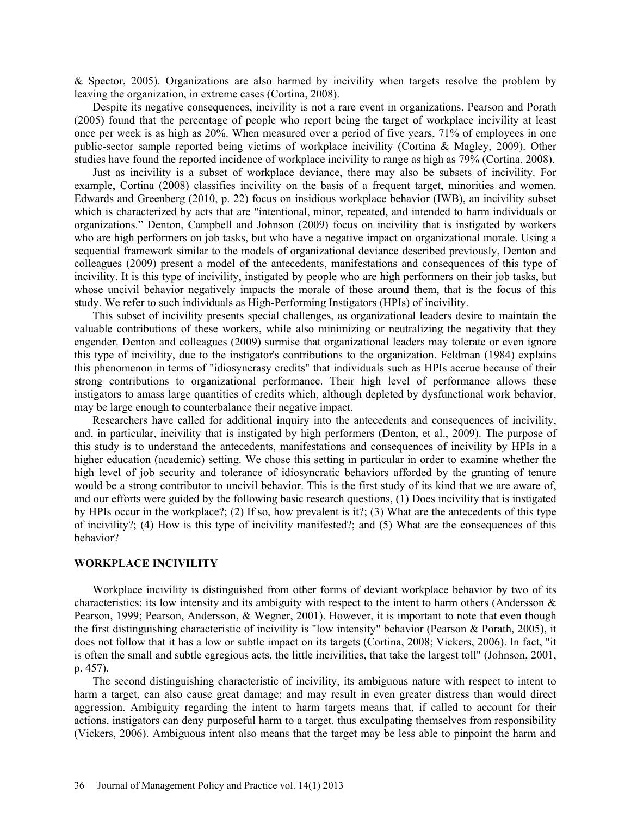& Spector, 2005). Organizations are also harmed by incivility when targets resolve the problem by leaving the organization, in extreme cases (Cortina, 2008).

Despite its negative consequences, incivility is not a rare event in organizations. Pearson and Porath (2005) found that the percentage of people who report being the target of workplace incivility at least once per week is as high as 20%. When measured over a period of five years, 71% of employees in one public-sector sample reported being victims of workplace incivility (Cortina & Magley, 2009). Other studies have found the reported incidence of workplace incivility to range as high as 79% (Cortina, 2008).

Just as incivility is a subset of workplace deviance, there may also be subsets of incivility. For example, Cortina (2008) classifies incivility on the basis of a frequent target, minorities and women. Edwards and Greenberg (2010, p. 22) focus on insidious workplace behavior (IWB), an incivility subset which is characterized by acts that are "intentional, minor, repeated, and intended to harm individuals or organizations." Denton, Campbell and Johnson (2009) focus on incivility that is instigated by workers who are high performers on job tasks, but who have a negative impact on organizational morale. Using a sequential framework similar to the models of organizational deviance described previously, Denton and colleagues (2009) present a model of the antecedents, manifestations and consequences of this type of incivility. It is this type of incivility, instigated by people who are high performers on their job tasks, but whose uncivil behavior negatively impacts the morale of those around them, that is the focus of this study. We refer to such individuals as High-Performing Instigators (HPIs) of incivility.

This subset of incivility presents special challenges, as organizational leaders desire to maintain the valuable contributions of these workers, while also minimizing or neutralizing the negativity that they engender. Denton and colleagues (2009) surmise that organizational leaders may tolerate or even ignore this type of incivility, due to the instigator's contributions to the organization. Feldman (1984) explains this phenomenon in terms of "idiosyncrasy credits" that individuals such as HPIs accrue because of their strong contributions to organizational performance. Their high level of performance allows these instigators to amass large quantities of credits which, although depleted by dysfunctional work behavior, may be large enough to counterbalance their negative impact.

Researchers have called for additional inquiry into the antecedents and consequences of incivility, and, in particular, incivility that is instigated by high performers (Denton, et al., 2009). The purpose of this study is to understand the antecedents, manifestations and consequences of incivility by HPIs in a higher education (academic) setting. We chose this setting in particular in order to examine whether the high level of job security and tolerance of idiosyncratic behaviors afforded by the granting of tenure would be a strong contributor to uncivil behavior. This is the first study of its kind that we are aware of, and our efforts were guided by the following basic research questions, (1) Does incivility that is instigated by HPIs occur in the workplace?; (2) If so, how prevalent is it?; (3) What are the antecedents of this type of incivility?; (4) How is this type of incivility manifested?; and (5) What are the consequences of this behavior?

### **WORKPLACE INCIVILITY**

Workplace incivility is distinguished from other forms of deviant workplace behavior by two of its characteristics: its low intensity and its ambiguity with respect to the intent to harm others (Andersson  $\&$ Pearson, 1999; Pearson, Andersson, & Wegner, 2001). However, it is important to note that even though the first distinguishing characteristic of incivility is "low intensity" behavior (Pearson & Porath, 2005), it does not follow that it has a low or subtle impact on its targets (Cortina, 2008; Vickers, 2006). In fact, "it is often the small and subtle egregious acts, the little incivilities, that take the largest toll" (Johnson, 2001, p. 457).

The second distinguishing characteristic of incivility, its ambiguous nature with respect to intent to harm a target, can also cause great damage; and may result in even greater distress than would direct aggression. Ambiguity regarding the intent to harm targets means that, if called to account for their actions, instigators can deny purposeful harm to a target, thus exculpating themselves from responsibility (Vickers, 2006). Ambiguous intent also means that the target may be less able to pinpoint the harm and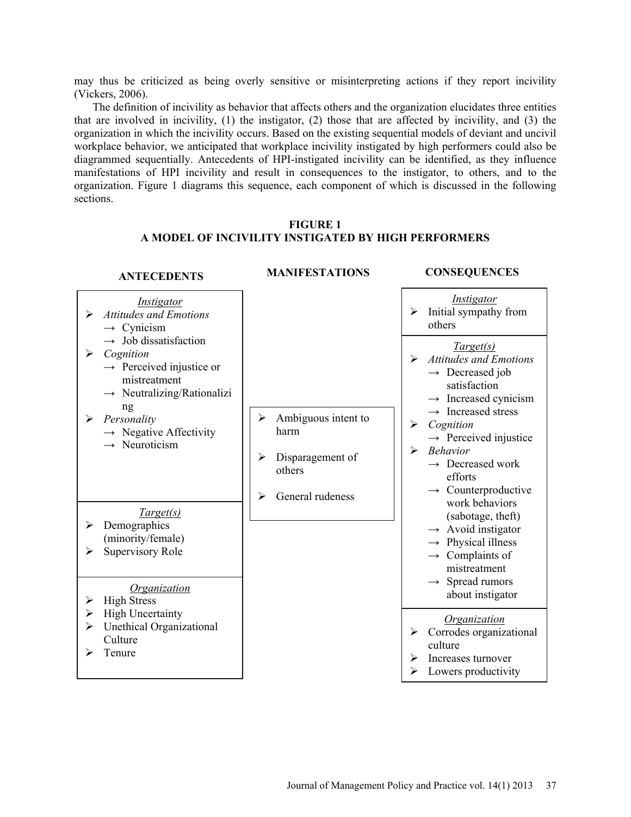may thus be criticized as being overly sensitive or misinterpreting actions if they report incivility (Vickers, 2006).

The definition of incivility as behavior that affects others and the organization elucidates three entities that are involved in incivility, (1) the instigator, (2) those that are affected by incivility, and (3) the organization in which the incivility occurs. Based on the existing sequential models of deviant and uncivil workplace behavior, we anticipated that workplace incivility instigated by high performers could also be diagrammed sequentially. Antecedents of HPI-instigated incivility can be identified, as they influence manifestations of HPI incivility and result in consequences to the instigator, to others, and to the organization. Figure 1 diagrams this sequence, each component of which is discussed in the following sections.

## **FIGURE 1 A MODEL OF INCIVILITY INSTIGATED BY HIGH PERFORMERS**

| <b>ANTECEDENTS</b>                                                                                                                                                                                                                                                                                                                                                                                 | <b>MANIFESTATIONS</b>                                                                        | <b>CONSEQUENCES</b>                                                                                                                                                                                                                                                                                                                                                                                                                                                                                                                            |
|----------------------------------------------------------------------------------------------------------------------------------------------------------------------------------------------------------------------------------------------------------------------------------------------------------------------------------------------------------------------------------------------------|----------------------------------------------------------------------------------------------|------------------------------------------------------------------------------------------------------------------------------------------------------------------------------------------------------------------------------------------------------------------------------------------------------------------------------------------------------------------------------------------------------------------------------------------------------------------------------------------------------------------------------------------------|
| <i>Instigator</i><br><b>Attitudes and Emotions</b><br>$\blacktriangleright$<br>$\rightarrow$ Cynicism                                                                                                                                                                                                                                                                                              |                                                                                              | Instigator<br>Initial sympathy from<br>➤<br>others                                                                                                                                                                                                                                                                                                                                                                                                                                                                                             |
| $\rightarrow$ Job dissatisfaction<br>Cognition<br>➤<br>$\rightarrow$ Perceived injustice or<br>mistreatment<br>$\rightarrow$ Neutralizing/Rationalizi<br>ng<br>Personality<br>➤<br>$\rightarrow$ Negative Affectivity<br>$\rightarrow$ Neuroticism<br>Target(s)<br>Demographics<br>➤<br>(minority/female)<br>Supervisory Role<br>➤<br><i><u><b>Organization</b></u></i><br><b>High Stress</b><br>➤ | Ambiguous intent to<br>➤<br>harm<br>Disparagement of<br>➤<br>others<br>General rudeness<br>➤ | Target(s)<br><b>Attitudes and Emotions</b><br>➤<br>$\rightarrow$ Decreased job<br>satisfaction<br>$\rightarrow$ Increased cynicism<br>$\rightarrow$ Increased stress<br>➤<br>Cognition<br>$\rightarrow$ Perceived injustice<br><b>Behavior</b><br>≻<br>$\rightarrow$ Decreased work<br>efforts<br>$\rightarrow$ Counterproductive<br>work behaviors<br>(sabotage, theft)<br>$\rightarrow$ Avoid instigator<br>$\rightarrow$ Physical illness<br>$\rightarrow$ Complaints of<br>mistreatment<br>$\rightarrow$ Spread rumors<br>about instigator |
| <b>High Uncertainty</b><br>➤<br>Unethical Organizational<br>➤<br>Culture                                                                                                                                                                                                                                                                                                                           |                                                                                              | <b>Organization</b><br>Corrodes organizational<br>➤<br>culture                                                                                                                                                                                                                                                                                                                                                                                                                                                                                 |
| Tenure<br>➤                                                                                                                                                                                                                                                                                                                                                                                        |                                                                                              | Increases turnover<br>➤<br>Lowers productivity<br>⋗                                                                                                                                                                                                                                                                                                                                                                                                                                                                                            |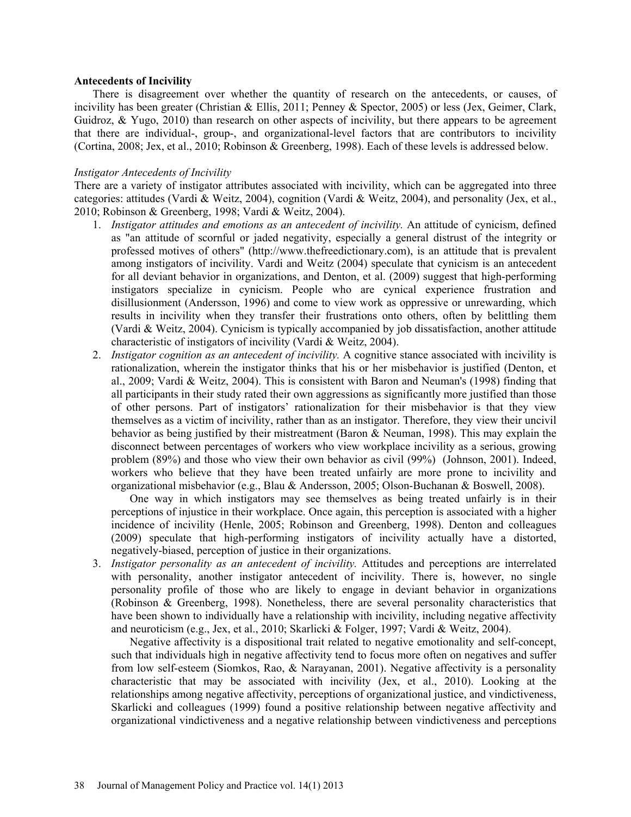### **Antecedents of Incivility**

There is disagreement over whether the quantity of research on the antecedents, or causes, of incivility has been greater (Christian & Ellis, 2011; Penney & Spector, 2005) or less (Jex, Geimer, Clark, Guidroz, & Yugo, 2010) than research on other aspects of incivility, but there appears to be agreement that there are individual-, group-, and organizational-level factors that are contributors to incivility (Cortina, 2008; Jex, et al., 2010; Robinson & Greenberg, 1998). Each of these levels is addressed below.

### *Instigator Antecedents of Incivility*

There are a variety of instigator attributes associated with incivility, which can be aggregated into three categories: attitudes (Vardi & Weitz, 2004), cognition (Vardi & Weitz, 2004), and personality (Jex, et al., 2010; Robinson & Greenberg, 1998; Vardi & Weitz, 2004).

- 1. *Instigator attitudes and emotions as an antecedent of incivility.* An attitude of cynicism, defined as "an attitude of scornful or jaded negativity, especially a general distrust of the integrity or professed motives of others" (http://www.thefreedictionary.com), is an attitude that is prevalent among instigators of incivility. Vardi and Weitz (2004) speculate that cynicism is an antecedent for all deviant behavior in organizations, and Denton, et al. (2009) suggest that high-performing instigators specialize in cynicism. People who are cynical experience frustration and disillusionment (Andersson, 1996) and come to view work as oppressive or unrewarding, which results in incivility when they transfer their frustrations onto others, often by belittling them (Vardi & Weitz, 2004). Cynicism is typically accompanied by job dissatisfaction, another attitude characteristic of instigators of incivility (Vardi & Weitz, 2004).
- 2. *Instigator cognition as an antecedent of incivility.* A cognitive stance associated with incivility is rationalization, wherein the instigator thinks that his or her misbehavior is justified (Denton, et al., 2009; Vardi & Weitz, 2004). This is consistent with Baron and Neuman's (1998) finding that all participants in their study rated their own aggressions as significantly more justified than those of other persons. Part of instigators' rationalization for their misbehavior is that they view themselves as a victim of incivility, rather than as an instigator. Therefore, they view their uncivil behavior as being justified by their mistreatment (Baron & Neuman, 1998). This may explain the disconnect between percentages of workers who view workplace incivility as a serious, growing problem (89%) and those who view their own behavior as civil (99%) (Johnson, 2001). Indeed, workers who believe that they have been treated unfairly are more prone to incivility and organizational misbehavior (e.g., Blau & Andersson, 2005; Olson-Buchanan & Boswell, 2008).

One way in which instigators may see themselves as being treated unfairly is in their perceptions of injustice in their workplace. Once again, this perception is associated with a higher incidence of incivility (Henle, 2005; Robinson and Greenberg, 1998). Denton and colleagues (2009) speculate that high-performing instigators of incivility actually have a distorted, negatively-biased, perception of justice in their organizations.

3. *Instigator personality as an antecedent of incivility.* Attitudes and perceptions are interrelated with personality, another instigator antecedent of incivility. There is, however, no single personality profile of those who are likely to engage in deviant behavior in organizations (Robinson & Greenberg, 1998). Nonetheless, there are several personality characteristics that have been shown to individually have a relationship with incivility, including negative affectivity and neuroticism (e.g., Jex, et al., 2010; Skarlicki & Folger, 1997; Vardi & Weitz, 2004).

Negative affectivity is a dispositional trait related to negative emotionality and self-concept, such that individuals high in negative affectivity tend to focus more often on negatives and suffer from low self-esteem (Siomkos, Rao, & Narayanan, 2001). Negative affectivity is a personality characteristic that may be associated with incivility (Jex, et al., 2010). Looking at the relationships among negative affectivity, perceptions of organizational justice, and vindictiveness, Skarlicki and colleagues (1999) found a positive relationship between negative affectivity and organizational vindictiveness and a negative relationship between vindictiveness and perceptions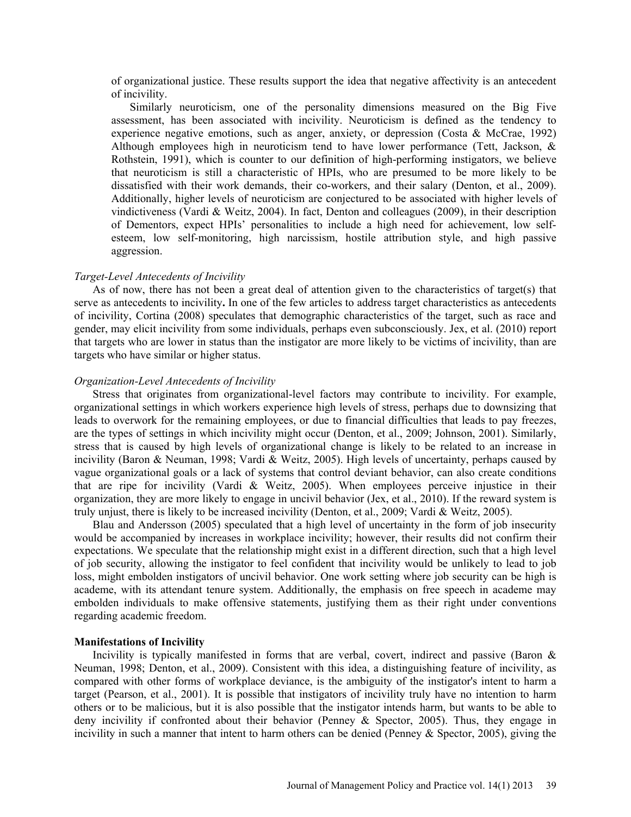of organizational justice. These results support the idea that negative affectivity is an antecedent of incivility.

Similarly neuroticism, one of the personality dimensions measured on the Big Five assessment, has been associated with incivility. Neuroticism is defined as the tendency to experience negative emotions, such as anger, anxiety, or depression (Costa & McCrae, 1992) Although employees high in neuroticism tend to have lower performance (Tett, Jackson, & Rothstein, 1991), which is counter to our definition of high-performing instigators, we believe that neuroticism is still a characteristic of HPIs, who are presumed to be more likely to be dissatisfied with their work demands, their co-workers, and their salary (Denton, et al., 2009). Additionally, higher levels of neuroticism are conjectured to be associated with higher levels of vindictiveness (Vardi & Weitz, 2004). In fact, Denton and colleagues (2009), in their description of Dementors, expect HPIs' personalities to include a high need for achievement, low selfesteem, low self-monitoring, high narcissism, hostile attribution style, and high passive aggression.

#### *Target-Level Antecedents of Incivility*

As of now, there has not been a great deal of attention given to the characteristics of target(s) that serve as antecedents to incivility**.** In one of the few articles to address target characteristics as antecedents of incivility, Cortina (2008) speculates that demographic characteristics of the target, such as race and gender, may elicit incivility from some individuals, perhaps even subconsciously. Jex, et al. (2010) report that targets who are lower in status than the instigator are more likely to be victims of incivility, than are targets who have similar or higher status.

#### *Organization-Level Antecedents of Incivility*

Stress that originates from organizational-level factors may contribute to incivility. For example, organizational settings in which workers experience high levels of stress, perhaps due to downsizing that leads to overwork for the remaining employees, or due to financial difficulties that leads to pay freezes, are the types of settings in which incivility might occur (Denton, et al., 2009; Johnson, 2001). Similarly, stress that is caused by high levels of organizational change is likely to be related to an increase in incivility (Baron & Neuman, 1998; Vardi & Weitz, 2005). High levels of uncertainty, perhaps caused by vague organizational goals or a lack of systems that control deviant behavior, can also create conditions that are ripe for incivility (Vardi & Weitz, 2005). When employees perceive injustice in their organization, they are more likely to engage in uncivil behavior (Jex, et al., 2010). If the reward system is truly unjust, there is likely to be increased incivility (Denton, et al., 2009; Vardi & Weitz, 2005).

Blau and Andersson (2005) speculated that a high level of uncertainty in the form of job insecurity would be accompanied by increases in workplace incivility; however, their results did not confirm their expectations. We speculate that the relationship might exist in a different direction, such that a high level of job security, allowing the instigator to feel confident that incivility would be unlikely to lead to job loss, might embolden instigators of uncivil behavior. One work setting where job security can be high is academe, with its attendant tenure system. Additionally, the emphasis on free speech in academe may embolden individuals to make offensive statements, justifying them as their right under conventions regarding academic freedom.

#### **Manifestations of Incivility**

Incivility is typically manifested in forms that are verbal, covert, indirect and passive (Baron  $\&$ Neuman, 1998; Denton, et al., 2009). Consistent with this idea, a distinguishing feature of incivility, as compared with other forms of workplace deviance, is the ambiguity of the instigator's intent to harm a target (Pearson, et al., 2001). It is possible that instigators of incivility truly have no intention to harm others or to be malicious, but it is also possible that the instigator intends harm, but wants to be able to deny incivility if confronted about their behavior (Penney & Spector, 2005). Thus, they engage in incivility in such a manner that intent to harm others can be denied (Penney  $\&$  Spector, 2005), giving the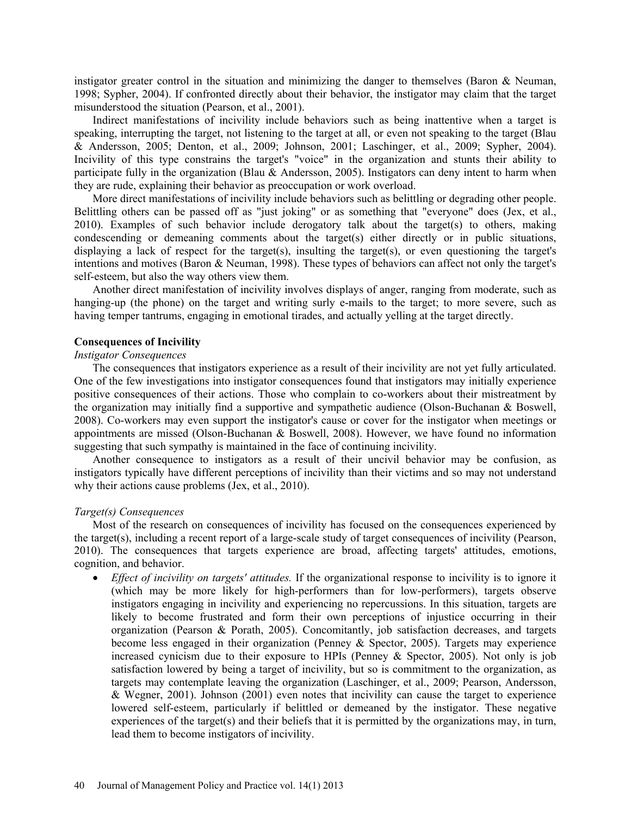instigator greater control in the situation and minimizing the danger to themselves (Baron & Neuman, 1998; Sypher, 2004). If confronted directly about their behavior, the instigator may claim that the target misunderstood the situation (Pearson, et al., 2001).

Indirect manifestations of incivility include behaviors such as being inattentive when a target is speaking, interrupting the target, not listening to the target at all, or even not speaking to the target (Blau & Andersson, 2005; Denton, et al., 2009; Johnson, 2001; Laschinger, et al., 2009; Sypher, 2004). Incivility of this type constrains the target's "voice" in the organization and stunts their ability to participate fully in the organization (Blau & Andersson, 2005). Instigators can deny intent to harm when they are rude, explaining their behavior as preoccupation or work overload.

More direct manifestations of incivility include behaviors such as belittling or degrading other people. Belittling others can be passed off as "just joking" or as something that "everyone" does (Jex, et al., 2010). Examples of such behavior include derogatory talk about the target(s) to others, making condescending or demeaning comments about the target(s) either directly or in public situations, displaying a lack of respect for the target(s), insulting the target(s), or even questioning the target's intentions and motives (Baron & Neuman, 1998). These types of behaviors can affect not only the target's self-esteem, but also the way others view them.

Another direct manifestation of incivility involves displays of anger, ranging from moderate, such as hanging-up (the phone) on the target and writing surly e-mails to the target; to more severe, such as having temper tantrums, engaging in emotional tirades, and actually yelling at the target directly.

## **Consequences of Incivility**

### *Instigator Consequences*

The consequences that instigators experience as a result of their incivility are not yet fully articulated. One of the few investigations into instigator consequences found that instigators may initially experience positive consequences of their actions. Those who complain to co-workers about their mistreatment by the organization may initially find a supportive and sympathetic audience (Olson-Buchanan & Boswell, 2008). Co-workers may even support the instigator's cause or cover for the instigator when meetings or appointments are missed (Olson-Buchanan & Boswell, 2008). However, we have found no information suggesting that such sympathy is maintained in the face of continuing incivility.

Another consequence to instigators as a result of their uncivil behavior may be confusion, as instigators typically have different perceptions of incivility than their victims and so may not understand why their actions cause problems (Jex, et al., 2010).

### *Target(s) Consequences*

Most of the research on consequences of incivility has focused on the consequences experienced by the target(s), including a recent report of a large-scale study of target consequences of incivility (Pearson, 2010). The consequences that targets experience are broad, affecting targets' attitudes, emotions, cognition, and behavior.

 *Effect of incivility on targets' attitudes.* If the organizational response to incivility is to ignore it (which may be more likely for high-performers than for low-performers), targets observe instigators engaging in incivility and experiencing no repercussions. In this situation, targets are likely to become frustrated and form their own perceptions of injustice occurring in their organization (Pearson & Porath, 2005). Concomitantly, job satisfaction decreases, and targets become less engaged in their organization (Penney & Spector, 2005). Targets may experience increased cynicism due to their exposure to HPIs (Penney & Spector, 2005). Not only is job satisfaction lowered by being a target of incivility, but so is commitment to the organization, as targets may contemplate leaving the organization (Laschinger, et al., 2009; Pearson, Andersson, & Wegner, 2001). Johnson (2001) even notes that incivility can cause the target to experience lowered self-esteem, particularly if belittled or demeaned by the instigator. These negative experiences of the target(s) and their beliefs that it is permitted by the organizations may, in turn, lead them to become instigators of incivility.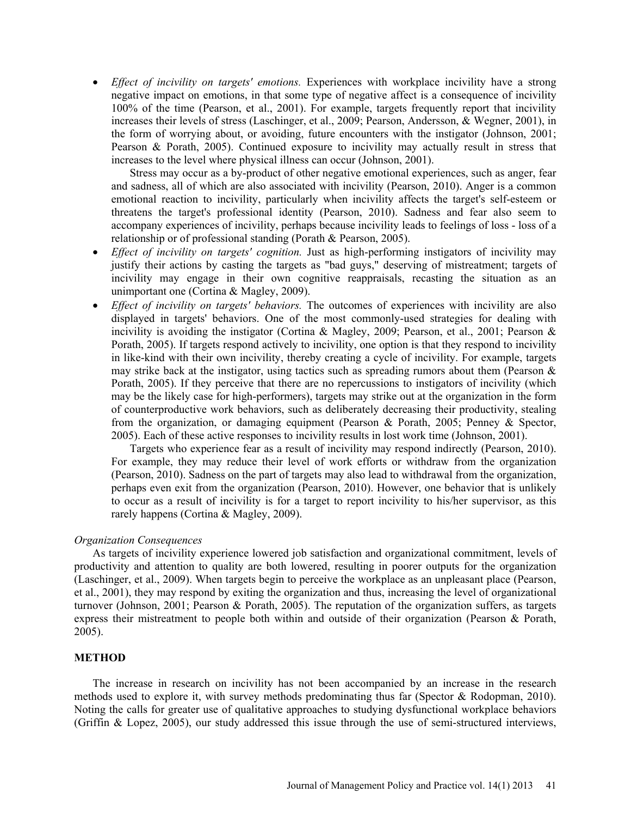*Effect of incivility on targets' emotions.* Experiences with workplace incivility have a strong negative impact on emotions, in that some type of negative affect is a consequence of incivility 100% of the time (Pearson, et al., 2001). For example, targets frequently report that incivility increases their levels of stress (Laschinger, et al., 2009; Pearson, Andersson, & Wegner, 2001), in the form of worrying about, or avoiding, future encounters with the instigator (Johnson, 2001; Pearson & Porath, 2005). Continued exposure to incivility may actually result in stress that increases to the level where physical illness can occur (Johnson, 2001).

Stress may occur as a by-product of other negative emotional experiences, such as anger, fear and sadness, all of which are also associated with incivility (Pearson, 2010). Anger is a common emotional reaction to incivility, particularly when incivility affects the target's self-esteem or threatens the target's professional identity (Pearson, 2010). Sadness and fear also seem to accompany experiences of incivility, perhaps because incivility leads to feelings of loss - loss of a relationship or of professional standing (Porath & Pearson, 2005).

- *Effect of incivility on targets' cognition*. Just as high-performing instigators of incivility may justify their actions by casting the targets as "bad guys," deserving of mistreatment; targets of incivility may engage in their own cognitive reappraisals, recasting the situation as an unimportant one (Cortina & Magley, 2009).
- *Effect of incivility on targets' behaviors.* The outcomes of experiences with incivility are also displayed in targets' behaviors. One of the most commonly-used strategies for dealing with incivility is avoiding the instigator (Cortina & Magley, 2009; Pearson, et al., 2001; Pearson & Porath, 2005). If targets respond actively to incivility, one option is that they respond to incivility in like-kind with their own incivility, thereby creating a cycle of incivility. For example, targets may strike back at the instigator, using tactics such as spreading rumors about them (Pearson  $\&$ Porath, 2005). If they perceive that there are no repercussions to instigators of incivility (which may be the likely case for high-performers), targets may strike out at the organization in the form of counterproductive work behaviors, such as deliberately decreasing their productivity, stealing from the organization, or damaging equipment (Pearson & Porath, 2005; Penney & Spector, 2005). Each of these active responses to incivility results in lost work time (Johnson, 2001).

Targets who experience fear as a result of incivility may respond indirectly (Pearson, 2010). For example, they may reduce their level of work efforts or withdraw from the organization (Pearson, 2010). Sadness on the part of targets may also lead to withdrawal from the organization, perhaps even exit from the organization (Pearson, 2010). However, one behavior that is unlikely to occur as a result of incivility is for a target to report incivility to his/her supervisor, as this rarely happens (Cortina & Magley, 2009).

### *Organization Consequences*

As targets of incivility experience lowered job satisfaction and organizational commitment, levels of productivity and attention to quality are both lowered, resulting in poorer outputs for the organization (Laschinger, et al., 2009). When targets begin to perceive the workplace as an unpleasant place (Pearson, et al., 2001), they may respond by exiting the organization and thus, increasing the level of organizational turnover (Johnson, 2001; Pearson & Porath, 2005). The reputation of the organization suffers, as targets express their mistreatment to people both within and outside of their organization (Pearson & Porath, 2005).

## **METHOD**

The increase in research on incivility has not been accompanied by an increase in the research methods used to explore it, with survey methods predominating thus far (Spector & Rodopman, 2010). Noting the calls for greater use of qualitative approaches to studying dysfunctional workplace behaviors (Griffin & Lopez, 2005), our study addressed this issue through the use of semi-structured interviews,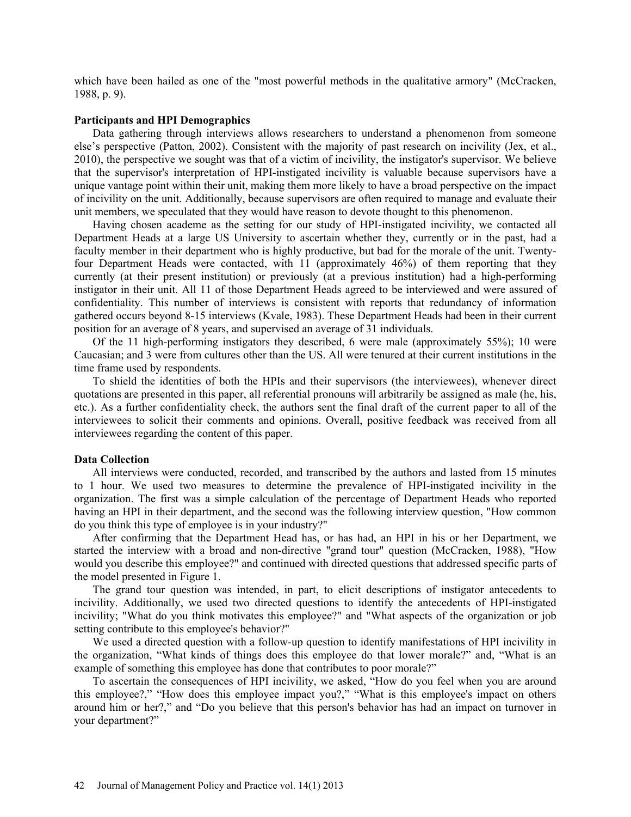which have been hailed as one of the "most powerful methods in the qualitative armory" (McCracken, 1988, p. 9).

### **Participants and HPI Demographics**

Data gathering through interviews allows researchers to understand a phenomenon from someone else's perspective (Patton, 2002). Consistent with the majority of past research on incivility (Jex, et al., 2010), the perspective we sought was that of a victim of incivility, the instigator's supervisor. We believe that the supervisor's interpretation of HPI-instigated incivility is valuable because supervisors have a unique vantage point within their unit, making them more likely to have a broad perspective on the impact of incivility on the unit. Additionally, because supervisors are often required to manage and evaluate their unit members, we speculated that they would have reason to devote thought to this phenomenon.

Having chosen academe as the setting for our study of HPI-instigated incivility, we contacted all Department Heads at a large US University to ascertain whether they, currently or in the past, had a faculty member in their department who is highly productive, but bad for the morale of the unit. Twentyfour Department Heads were contacted, with 11 (approximately 46%) of them reporting that they currently (at their present institution) or previously (at a previous institution) had a high-performing instigator in their unit. All 11 of those Department Heads agreed to be interviewed and were assured of confidentiality. This number of interviews is consistent with reports that redundancy of information gathered occurs beyond 8-15 interviews (Kvale, 1983). These Department Heads had been in their current position for an average of 8 years, and supervised an average of 31 individuals.

Of the 11 high-performing instigators they described, 6 were male (approximately 55%); 10 were Caucasian; and 3 were from cultures other than the US. All were tenured at their current institutions in the time frame used by respondents.

To shield the identities of both the HPIs and their supervisors (the interviewees), whenever direct quotations are presented in this paper, all referential pronouns will arbitrarily be assigned as male (he, his, etc.). As a further confidentiality check, the authors sent the final draft of the current paper to all of the interviewees to solicit their comments and opinions. Overall, positive feedback was received from all interviewees regarding the content of this paper.

### **Data Collection**

All interviews were conducted, recorded, and transcribed by the authors and lasted from 15 minutes to 1 hour. We used two measures to determine the prevalence of HPI-instigated incivility in the organization. The first was a simple calculation of the percentage of Department Heads who reported having an HPI in their department, and the second was the following interview question, "How common do you think this type of employee is in your industry?"

After confirming that the Department Head has, or has had, an HPI in his or her Department, we started the interview with a broad and non-directive "grand tour" question (McCracken, 1988), "How would you describe this employee?" and continued with directed questions that addressed specific parts of the model presented in Figure 1.

The grand tour question was intended, in part, to elicit descriptions of instigator antecedents to incivility. Additionally, we used two directed questions to identify the antecedents of HPI-instigated incivility; "What do you think motivates this employee?" and "What aspects of the organization or job setting contribute to this employee's behavior?"

We used a directed question with a follow-up question to identify manifestations of HPI incivility in the organization, "What kinds of things does this employee do that lower morale?" and, "What is an example of something this employee has done that contributes to poor morale?"

To ascertain the consequences of HPI incivility, we asked, "How do you feel when you are around this employee?," "How does this employee impact you?," "What is this employee's impact on others around him or her?," and "Do you believe that this person's behavior has had an impact on turnover in your department?"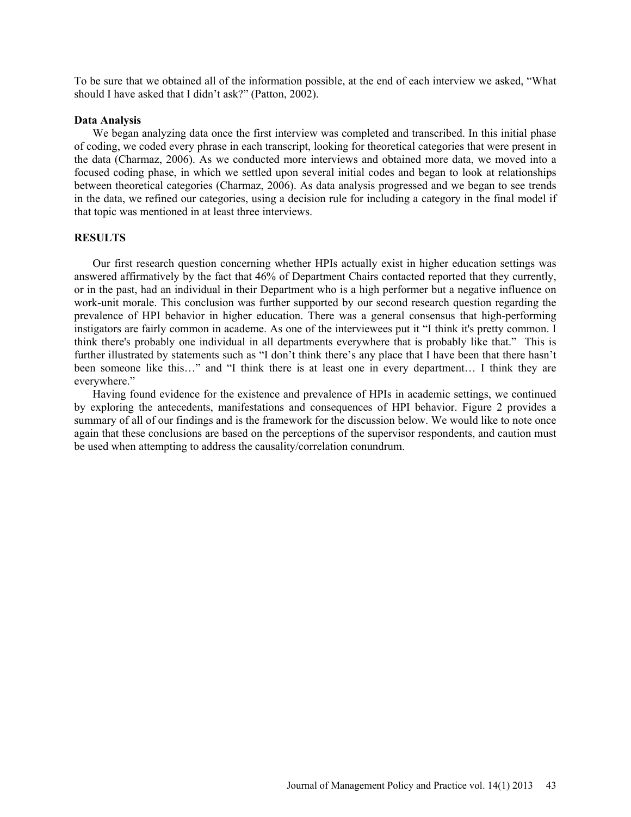To be sure that we obtained all of the information possible, at the end of each interview we asked, "What should I have asked that I didn't ask?" (Patton, 2002).

### **Data Analysis**

We began analyzing data once the first interview was completed and transcribed. In this initial phase of coding, we coded every phrase in each transcript, looking for theoretical categories that were present in the data (Charmaz, 2006). As we conducted more interviews and obtained more data, we moved into a focused coding phase, in which we settled upon several initial codes and began to look at relationships between theoretical categories (Charmaz, 2006). As data analysis progressed and we began to see trends in the data, we refined our categories, using a decision rule for including a category in the final model if that topic was mentioned in at least three interviews.

## **RESULTS**

Our first research question concerning whether HPIs actually exist in higher education settings was answered affirmatively by the fact that 46% of Department Chairs contacted reported that they currently, or in the past, had an individual in their Department who is a high performer but a negative influence on work-unit morale. This conclusion was further supported by our second research question regarding the prevalence of HPI behavior in higher education. There was a general consensus that high-performing instigators are fairly common in academe. As one of the interviewees put it "I think it's pretty common. I think there's probably one individual in all departments everywhere that is probably like that." This is further illustrated by statements such as "I don't think there's any place that I have been that there hasn't been someone like this…" and "I think there is at least one in every department… I think they are everywhere."

Having found evidence for the existence and prevalence of HPIs in academic settings, we continued by exploring the antecedents, manifestations and consequences of HPI behavior. Figure 2 provides a summary of all of our findings and is the framework for the discussion below. We would like to note once again that these conclusions are based on the perceptions of the supervisor respondents, and caution must be used when attempting to address the causality/correlation conundrum.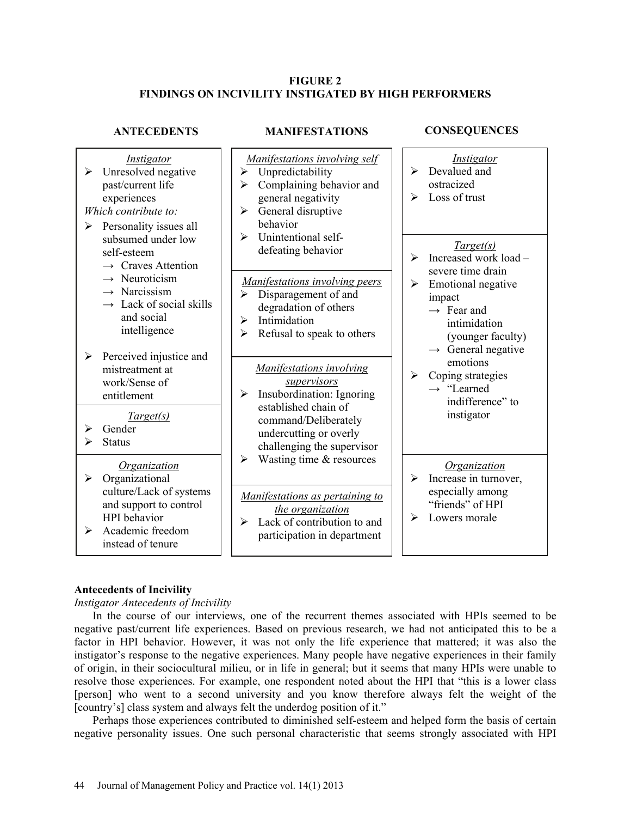## **FIGURE 2 FINDINGS ON INCIVILITY INSTIGATED BY HIGH PERFORMERS**

| <b>ANTECEDENTS</b>                                                                                                                                                                                | <b>MANIFESTATIONS</b>                                                                                                                                                                                                     | <b>CONSEQUENCES</b>                                                                                                                                                                                |
|---------------------------------------------------------------------------------------------------------------------------------------------------------------------------------------------------|---------------------------------------------------------------------------------------------------------------------------------------------------------------------------------------------------------------------------|----------------------------------------------------------------------------------------------------------------------------------------------------------------------------------------------------|
| Instigator<br>Unresolved negative<br>➤<br>past/current life<br>experiences<br>Which contribute to:<br>Personality issues all<br>➤                                                                 | Manifestations involving self<br>Unpredictability<br>➤<br>Complaining behavior and<br>➤<br>general negativity<br>General disruptive<br>$\blacktriangleright$<br>behavior                                                  | <i>Instigator</i><br>Devalued and<br>↘<br>ostracized<br>Loss of trust<br>⋗                                                                                                                         |
| subsumed under low<br>self-esteem<br>$\rightarrow$ Craves Attention<br>$\rightarrow$ Neuroticism<br>$\rightarrow$ Narcissism<br>$\rightarrow$ Lack of social skills<br>and social<br>intelligence | Unintentional self-<br>↘<br>defeating behavior<br><b>Manifestations involving peers</b><br>Disparagement of and<br>$\blacktriangleright$<br>degradation of others<br>Intimidation<br>≻<br>Refusal to speak to others<br>➤ | Target(s)<br>Increased work load -<br>➤<br>severe time drain<br>Emotional negative<br>➤<br>impact<br>$\rightarrow$ Fear and<br>intimidation<br>(younger faculty)<br>$\rightarrow$ General negative |
| Perceived injustice and<br>➤<br>mistreatment at<br>work/Sense of<br>entitlement<br>Target(s)<br>Gender<br><b>Status</b>                                                                           | <b>Manifestations involving</b><br>supervisors<br>Insubordination: Ignoring<br>≻<br>established chain of<br>command/Deliberately<br>undercutting or overly<br>challenging the supervisor                                  | emotions<br>Coping strategies<br>➤<br>$\rightarrow$ "Learned"<br>indifference" to<br>instigator                                                                                                    |
| <i><u><b>Organization</b></u></i><br>Organizational<br>➤<br>culture/Lack of systems                                                                                                               | Wasting time & resources<br>⋗                                                                                                                                                                                             | <b>Organization</b><br>Increase in turnover,<br>➤<br>especially among                                                                                                                              |
| and support to control<br>HPI behavior<br>Academic freedom<br>➤<br>instead of tenure                                                                                                              | Manifestations as pertaining to<br>the organization<br>Lack of contribution to and<br>➤<br>participation in department                                                                                                    | "friends" of HPI<br>Lowers morale<br>➤                                                                                                                                                             |

## **Antecedents of Incivility**

*Instigator Antecedents of Incivility*

In the course of our interviews, one of the recurrent themes associated with HPIs seemed to be negative past/current life experiences. Based on previous research, we had not anticipated this to be a factor in HPI behavior. However, it was not only the life experience that mattered; it was also the instigator's response to the negative experiences. Many people have negative experiences in their family of origin, in their sociocultural milieu, or in life in general; but it seems that many HPIs were unable to resolve those experiences. For example, one respondent noted about the HPI that "this is a lower class [person] who went to a second university and you know therefore always felt the weight of the [country's] class system and always felt the underdog position of it."

Perhaps those experiences contributed to diminished self-esteem and helped form the basis of certain negative personality issues. One such personal characteristic that seems strongly associated with HPI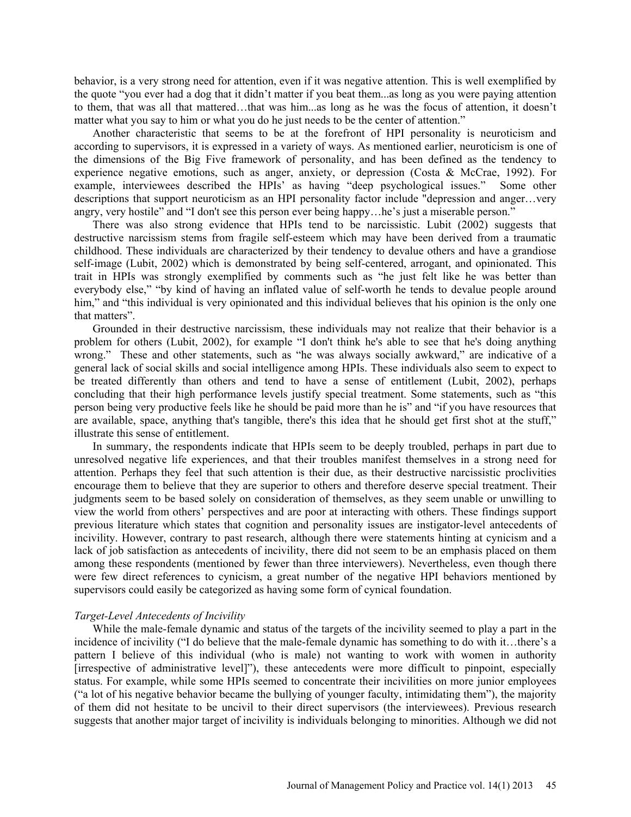behavior, is a very strong need for attention, even if it was negative attention. This is well exemplified by the quote "you ever had a dog that it didn't matter if you beat them...as long as you were paying attention to them, that was all that mattered…that was him...as long as he was the focus of attention, it doesn't matter what you say to him or what you do he just needs to be the center of attention."

Another characteristic that seems to be at the forefront of HPI personality is neuroticism and according to supervisors, it is expressed in a variety of ways. As mentioned earlier, neuroticism is one of the dimensions of the Big Five framework of personality, and has been defined as the tendency to experience negative emotions, such as anger, anxiety, or depression (Costa & McCrae, 1992). For example, interviewees described the HPIs' as having "deep psychological issues." Some other descriptions that support neuroticism as an HPI personality factor include "depression and anger…very angry, very hostile" and "I don't see this person ever being happy…he's just a miserable person."

There was also strong evidence that HPIs tend to be narcissistic. Lubit (2002) suggests that destructive narcissism stems from fragile self-esteem which may have been derived from a traumatic childhood. These individuals are characterized by their tendency to devalue others and have a grandiose self-image (Lubit, 2002) which is demonstrated by being self-centered, arrogant, and opinionated. This trait in HPIs was strongly exemplified by comments such as "he just felt like he was better than everybody else," "by kind of having an inflated value of self-worth he tends to devalue people around him," and "this individual is very opinionated and this individual believes that his opinion is the only one that matters".

Grounded in their destructive narcissism, these individuals may not realize that their behavior is a problem for others (Lubit, 2002), for example "I don't think he's able to see that he's doing anything wrong." These and other statements, such as "he was always socially awkward," are indicative of a general lack of social skills and social intelligence among HPIs. These individuals also seem to expect to be treated differently than others and tend to have a sense of entitlement (Lubit, 2002), perhaps concluding that their high performance levels justify special treatment. Some statements, such as "this person being very productive feels like he should be paid more than he is" and "if you have resources that are available, space, anything that's tangible, there's this idea that he should get first shot at the stuff," illustrate this sense of entitlement.

In summary, the respondents indicate that HPIs seem to be deeply troubled, perhaps in part due to unresolved negative life experiences, and that their troubles manifest themselves in a strong need for attention. Perhaps they feel that such attention is their due, as their destructive narcissistic proclivities encourage them to believe that they are superior to others and therefore deserve special treatment. Their judgments seem to be based solely on consideration of themselves, as they seem unable or unwilling to view the world from others' perspectives and are poor at interacting with others. These findings support previous literature which states that cognition and personality issues are instigator-level antecedents of incivility. However, contrary to past research, although there were statements hinting at cynicism and a lack of job satisfaction as antecedents of incivility, there did not seem to be an emphasis placed on them among these respondents (mentioned by fewer than three interviewers). Nevertheless, even though there were few direct references to cynicism, a great number of the negative HPI behaviors mentioned by supervisors could easily be categorized as having some form of cynical foundation.

### *Target-Level Antecedents of Incivility*

While the male-female dynamic and status of the targets of the incivility seemed to play a part in the incidence of incivility ("I do believe that the male-female dynamic has something to do with it…there's a pattern I believe of this individual (who is male) not wanting to work with women in authority [irrespective of administrative level]"), these antecedents were more difficult to pinpoint, especially status. For example, while some HPIs seemed to concentrate their incivilities on more junior employees ("a lot of his negative behavior became the bullying of younger faculty, intimidating them"), the majority of them did not hesitate to be uncivil to their direct supervisors (the interviewees). Previous research suggests that another major target of incivility is individuals belonging to minorities. Although we did not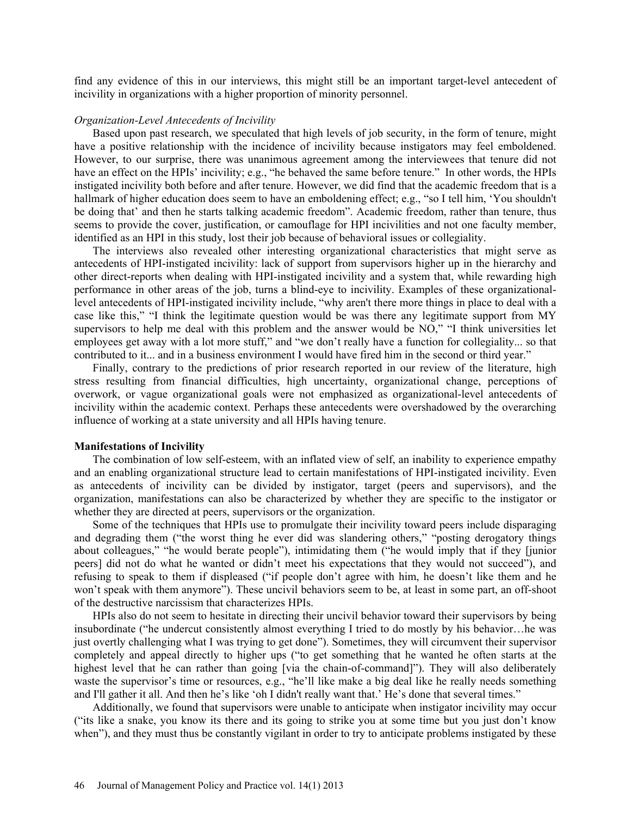find any evidence of this in our interviews, this might still be an important target-level antecedent of incivility in organizations with a higher proportion of minority personnel.

### *Organization-Level Antecedents of Incivility*

Based upon past research, we speculated that high levels of job security, in the form of tenure, might have a positive relationship with the incidence of incivility because instigators may feel emboldened. However, to our surprise, there was unanimous agreement among the interviewees that tenure did not have an effect on the HPIs' incivility; e.g., "he behaved the same before tenure." In other words, the HPIs instigated incivility both before and after tenure. However, we did find that the academic freedom that is a hallmark of higher education does seem to have an emboldening effect; e.g., "so I tell him, 'You shouldn't be doing that' and then he starts talking academic freedom". Academic freedom, rather than tenure, thus seems to provide the cover, justification, or camouflage for HPI incivilities and not one faculty member, identified as an HPI in this study, lost their job because of behavioral issues or collegiality.

The interviews also revealed other interesting organizational characteristics that might serve as antecedents of HPI-instigated incivility: lack of support from supervisors higher up in the hierarchy and other direct-reports when dealing with HPI-instigated incivility and a system that, while rewarding high performance in other areas of the job, turns a blind-eye to incivility. Examples of these organizationallevel antecedents of HPI-instigated incivility include, "why aren't there more things in place to deal with a case like this," "I think the legitimate question would be was there any legitimate support from MY supervisors to help me deal with this problem and the answer would be NO," "I think universities let employees get away with a lot more stuff," and "we don't really have a function for collegiality... so that contributed to it... and in a business environment I would have fired him in the second or third year."

Finally, contrary to the predictions of prior research reported in our review of the literature, high stress resulting from financial difficulties, high uncertainty, organizational change, perceptions of overwork, or vague organizational goals were not emphasized as organizational-level antecedents of incivility within the academic context. Perhaps these antecedents were overshadowed by the overarching influence of working at a state university and all HPIs having tenure.

#### **Manifestations of Incivility**

The combination of low self-esteem, with an inflated view of self, an inability to experience empathy and an enabling organizational structure lead to certain manifestations of HPI-instigated incivility. Even as antecedents of incivility can be divided by instigator, target (peers and supervisors), and the organization, manifestations can also be characterized by whether they are specific to the instigator or whether they are directed at peers, supervisors or the organization.

Some of the techniques that HPIs use to promulgate their incivility toward peers include disparaging and degrading them ("the worst thing he ever did was slandering others," "posting derogatory things about colleagues," "he would berate people"), intimidating them ("he would imply that if they [junior peers] did not do what he wanted or didn't meet his expectations that they would not succeed"), and refusing to speak to them if displeased ("if people don't agree with him, he doesn't like them and he won't speak with them anymore"). These uncivil behaviors seem to be, at least in some part, an off-shoot of the destructive narcissism that characterizes HPIs.

HPIs also do not seem to hesitate in directing their uncivil behavior toward their supervisors by being insubordinate ("he undercut consistently almost everything I tried to do mostly by his behavior…he was just overtly challenging what I was trying to get done"). Sometimes, they will circumvent their supervisor completely and appeal directly to higher ups ("to get something that he wanted he often starts at the highest level that he can rather than going [via the chain-of-command]"). They will also deliberately waste the supervisor's time or resources, e.g., "he'll like make a big deal like he really needs something and I'll gather it all. And then he's like 'oh I didn't really want that.' He's done that several times."

Additionally, we found that supervisors were unable to anticipate when instigator incivility may occur ("its like a snake, you know its there and its going to strike you at some time but you just don't know when"), and they must thus be constantly vigilant in order to try to anticipate problems instigated by these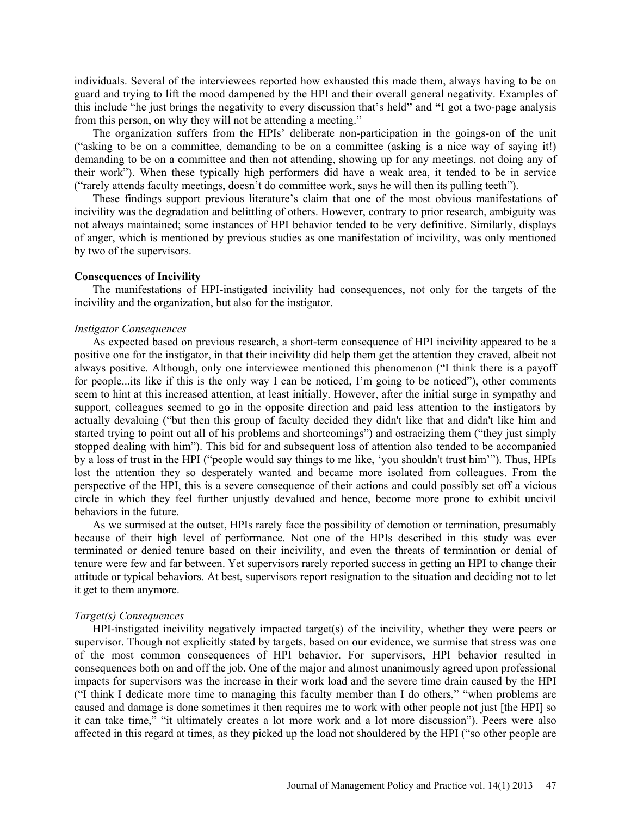individuals. Several of the interviewees reported how exhausted this made them, always having to be on guard and trying to lift the mood dampened by the HPI and their overall general negativity. Examples of this include "he just brings the negativity to every discussion that's held**"** and **"**I got a two-page analysis from this person, on why they will not be attending a meeting."

The organization suffers from the HPIs' deliberate non-participation in the goings-on of the unit ("asking to be on a committee, demanding to be on a committee (asking is a nice way of saying it!) demanding to be on a committee and then not attending, showing up for any meetings, not doing any of their work"). When these typically high performers did have a weak area, it tended to be in service ("rarely attends faculty meetings, doesn't do committee work, says he will then its pulling teeth").

These findings support previous literature's claim that one of the most obvious manifestations of incivility was the degradation and belittling of others. However, contrary to prior research, ambiguity was not always maintained; some instances of HPI behavior tended to be very definitive. Similarly, displays of anger, which is mentioned by previous studies as one manifestation of incivility, was only mentioned by two of the supervisors.

#### **Consequences of Incivility**

The manifestations of HPI-instigated incivility had consequences, not only for the targets of the incivility and the organization, but also for the instigator.

### *Instigator Consequences*

As expected based on previous research, a short-term consequence of HPI incivility appeared to be a positive one for the instigator, in that their incivility did help them get the attention they craved, albeit not always positive. Although, only one interviewee mentioned this phenomenon ("I think there is a payoff for people...its like if this is the only way I can be noticed, I'm going to be noticed"), other comments seem to hint at this increased attention, at least initially. However, after the initial surge in sympathy and support, colleagues seemed to go in the opposite direction and paid less attention to the instigators by actually devaluing ("but then this group of faculty decided they didn't like that and didn't like him and started trying to point out all of his problems and shortcomings") and ostracizing them ("they just simply stopped dealing with him"). This bid for and subsequent loss of attention also tended to be accompanied by a loss of trust in the HPI ("people would say things to me like, 'you shouldn't trust him'"). Thus, HPIs lost the attention they so desperately wanted and became more isolated from colleagues. From the perspective of the HPI, this is a severe consequence of their actions and could possibly set off a vicious circle in which they feel further unjustly devalued and hence, become more prone to exhibit uncivil behaviors in the future.

As we surmised at the outset, HPIs rarely face the possibility of demotion or termination, presumably because of their high level of performance. Not one of the HPIs described in this study was ever terminated or denied tenure based on their incivility, and even the threats of termination or denial of tenure were few and far between. Yet supervisors rarely reported success in getting an HPI to change their attitude or typical behaviors. At best, supervisors report resignation to the situation and deciding not to let it get to them anymore.

### *Target(s) Consequences*

HPI-instigated incivility negatively impacted target(s) of the incivility, whether they were peers or supervisor. Though not explicitly stated by targets, based on our evidence, we surmise that stress was one of the most common consequences of HPI behavior. For supervisors, HPI behavior resulted in consequences both on and off the job. One of the major and almost unanimously agreed upon professional impacts for supervisors was the increase in their work load and the severe time drain caused by the HPI ("I think I dedicate more time to managing this faculty member than I do others," "when problems are caused and damage is done sometimes it then requires me to work with other people not just [the HPI] so it can take time," "it ultimately creates a lot more work and a lot more discussion"). Peers were also affected in this regard at times, as they picked up the load not shouldered by the HPI ("so other people are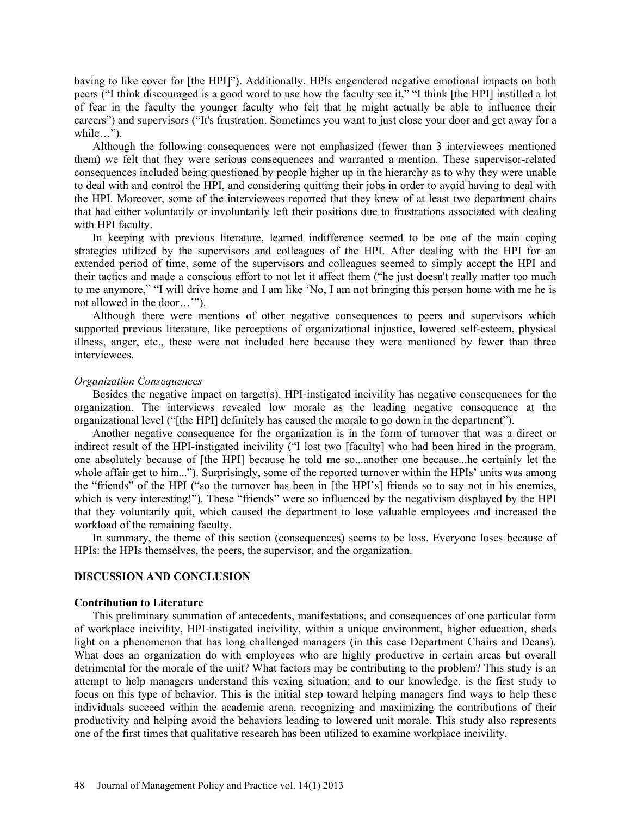having to like cover for [the HPI]"). Additionally, HPIs engendered negative emotional impacts on both peers ("I think discouraged is a good word to use how the faculty see it," "I think [the HPI] instilled a lot of fear in the faculty the younger faculty who felt that he might actually be able to influence their careers") and supervisors ("It's frustration. Sometimes you want to just close your door and get away for a while…").

Although the following consequences were not emphasized (fewer than 3 interviewees mentioned them) we felt that they were serious consequences and warranted a mention. These supervisor-related consequences included being questioned by people higher up in the hierarchy as to why they were unable to deal with and control the HPI, and considering quitting their jobs in order to avoid having to deal with the HPI. Moreover, some of the interviewees reported that they knew of at least two department chairs that had either voluntarily or involuntarily left their positions due to frustrations associated with dealing with HPI faculty.

In keeping with previous literature, learned indifference seemed to be one of the main coping strategies utilized by the supervisors and colleagues of the HPI. After dealing with the HPI for an extended period of time, some of the supervisors and colleagues seemed to simply accept the HPI and their tactics and made a conscious effort to not let it affect them ("he just doesn't really matter too much to me anymore," "I will drive home and I am like 'No, I am not bringing this person home with me he is not allowed in the door…'").

Although there were mentions of other negative consequences to peers and supervisors which supported previous literature, like perceptions of organizational injustice, lowered self-esteem, physical illness, anger, etc., these were not included here because they were mentioned by fewer than three interviewees.

### *Organization Consequences*

Besides the negative impact on target(s), HPI-instigated incivility has negative consequences for the organization. The interviews revealed low morale as the leading negative consequence at the organizational level ("[the HPI] definitely has caused the morale to go down in the department").

Another negative consequence for the organization is in the form of turnover that was a direct or indirect result of the HPI-instigated incivility ("I lost two [faculty] who had been hired in the program, one absolutely because of [the HPI] because he told me so...another one because...he certainly let the whole affair get to him..."). Surprisingly, some of the reported turnover within the HPIs' units was among the "friends" of the HPI ("so the turnover has been in [the HPI's] friends so to say not in his enemies, which is very interesting!"). These "friends" were so influenced by the negativism displayed by the HPI that they voluntarily quit, which caused the department to lose valuable employees and increased the workload of the remaining faculty.

In summary, the theme of this section (consequences) seems to be loss. Everyone loses because of HPIs: the HPIs themselves, the peers, the supervisor, and the organization.

## **DISCUSSION AND CONCLUSION**

### **Contribution to Literature**

This preliminary summation of antecedents, manifestations, and consequences of one particular form of workplace incivility, HPI-instigated incivility, within a unique environment, higher education, sheds light on a phenomenon that has long challenged managers (in this case Department Chairs and Deans). What does an organization do with employees who are highly productive in certain areas but overall detrimental for the morale of the unit? What factors may be contributing to the problem? This study is an attempt to help managers understand this vexing situation; and to our knowledge, is the first study to focus on this type of behavior. This is the initial step toward helping managers find ways to help these individuals succeed within the academic arena, recognizing and maximizing the contributions of their productivity and helping avoid the behaviors leading to lowered unit morale. This study also represents one of the first times that qualitative research has been utilized to examine workplace incivility.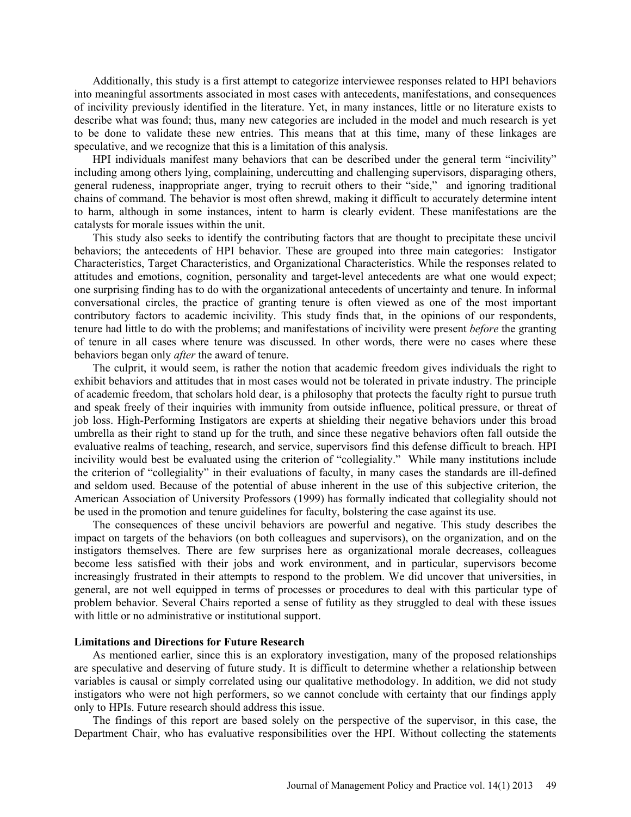Additionally, this study is a first attempt to categorize interviewee responses related to HPI behaviors into meaningful assortments associated in most cases with antecedents, manifestations, and consequences of incivility previously identified in the literature. Yet, in many instances, little or no literature exists to describe what was found; thus, many new categories are included in the model and much research is yet to be done to validate these new entries. This means that at this time, many of these linkages are speculative, and we recognize that this is a limitation of this analysis.

HPI individuals manifest many behaviors that can be described under the general term "incivility" including among others lying, complaining, undercutting and challenging supervisors, disparaging others, general rudeness, inappropriate anger, trying to recruit others to their "side," and ignoring traditional chains of command. The behavior is most often shrewd, making it difficult to accurately determine intent to harm, although in some instances, intent to harm is clearly evident. These manifestations are the catalysts for morale issues within the unit.

This study also seeks to identify the contributing factors that are thought to precipitate these uncivil behaviors; the antecedents of HPI behavior. These are grouped into three main categories: Instigator Characteristics, Target Characteristics, and Organizational Characteristics. While the responses related to attitudes and emotions, cognition, personality and target-level antecedents are what one would expect; one surprising finding has to do with the organizational antecedents of uncertainty and tenure. In informal conversational circles, the practice of granting tenure is often viewed as one of the most important contributory factors to academic incivility. This study finds that, in the opinions of our respondents, tenure had little to do with the problems; and manifestations of incivility were present *before* the granting of tenure in all cases where tenure was discussed. In other words, there were no cases where these behaviors began only *after* the award of tenure.

The culprit, it would seem, is rather the notion that academic freedom gives individuals the right to exhibit behaviors and attitudes that in most cases would not be tolerated in private industry. The principle of academic freedom, that scholars hold dear, is a philosophy that protects the faculty right to pursue truth and speak freely of their inquiries with immunity from outside influence, political pressure, or threat of job loss. High-Performing Instigators are experts at shielding their negative behaviors under this broad umbrella as their right to stand up for the truth, and since these negative behaviors often fall outside the evaluative realms of teaching, research, and service, supervisors find this defense difficult to breach. HPI incivility would best be evaluated using the criterion of "collegiality." While many institutions include the criterion of "collegiality" in their evaluations of faculty, in many cases the standards are ill-defined and seldom used. Because of the potential of abuse inherent in the use of this subjective criterion, the American Association of University Professors (1999) has formally indicated that collegiality should not be used in the promotion and tenure guidelines for faculty, bolstering the case against its use.

The consequences of these uncivil behaviors are powerful and negative. This study describes the impact on targets of the behaviors (on both colleagues and supervisors), on the organization, and on the instigators themselves. There are few surprises here as organizational morale decreases, colleagues become less satisfied with their jobs and work environment, and in particular, supervisors become increasingly frustrated in their attempts to respond to the problem. We did uncover that universities, in general, are not well equipped in terms of processes or procedures to deal with this particular type of problem behavior. Several Chairs reported a sense of futility as they struggled to deal with these issues with little or no administrative or institutional support.

### **Limitations and Directions for Future Research**

As mentioned earlier, since this is an exploratory investigation, many of the proposed relationships are speculative and deserving of future study. It is difficult to determine whether a relationship between variables is causal or simply correlated using our qualitative methodology. In addition, we did not study instigators who were not high performers, so we cannot conclude with certainty that our findings apply only to HPIs. Future research should address this issue.

The findings of this report are based solely on the perspective of the supervisor, in this case, the Department Chair, who has evaluative responsibilities over the HPI. Without collecting the statements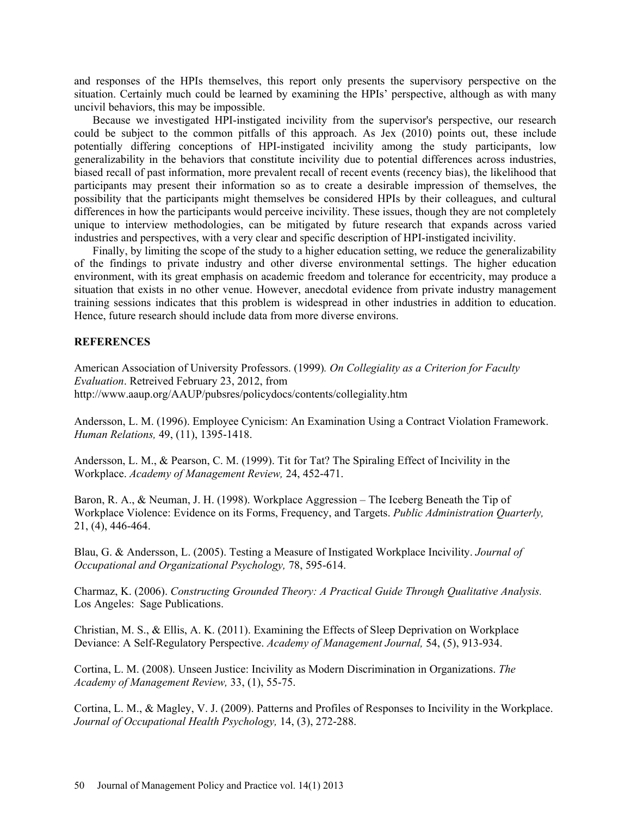and responses of the HPIs themselves, this report only presents the supervisory perspective on the situation. Certainly much could be learned by examining the HPIs' perspective, although as with many uncivil behaviors, this may be impossible.

Because we investigated HPI-instigated incivility from the supervisor's perspective, our research could be subject to the common pitfalls of this approach. As Jex (2010) points out, these include potentially differing conceptions of HPI-instigated incivility among the study participants, low generalizability in the behaviors that constitute incivility due to potential differences across industries, biased recall of past information, more prevalent recall of recent events (recency bias), the likelihood that participants may present their information so as to create a desirable impression of themselves, the possibility that the participants might themselves be considered HPIs by their colleagues, and cultural differences in how the participants would perceive incivility. These issues, though they are not completely unique to interview methodologies, can be mitigated by future research that expands across varied industries and perspectives, with a very clear and specific description of HPI-instigated incivility.

Finally, by limiting the scope of the study to a higher education setting, we reduce the generalizability of the findings to private industry and other diverse environmental settings. The higher education environment, with its great emphasis on academic freedom and tolerance for eccentricity, may produce a situation that exists in no other venue. However, anecdotal evidence from private industry management training sessions indicates that this problem is widespread in other industries in addition to education. Hence, future research should include data from more diverse environs.

## **REFERENCES**

American Association of University Professors. (1999)*. On Collegiality as a Criterion for Faculty Evaluation*. Retreived February 23, 2012, from http://www.aaup.org/AAUP/pubsres/policydocs/contents/collegiality.htm

Andersson, L. M. (1996). Employee Cynicism: An Examination Using a Contract Violation Framework. *Human Relations,* 49, (11), 1395-1418.

Andersson, L. M., & Pearson, C. M. (1999). Tit for Tat? The Spiraling Effect of Incivility in the Workplace. *Academy of Management Review,* 24, 452-471.

Baron, R. A., & Neuman, J. H. (1998). Workplace Aggression – The Iceberg Beneath the Tip of Workplace Violence: Evidence on its Forms, Frequency, and Targets. *Public Administration Quarterly,*  21, (4), 446-464.

Blau, G. & Andersson, L. (2005). Testing a Measure of Instigated Workplace Incivility. *Journal of Occupational and Organizational Psychology,* 78, 595-614.

Charmaz, K. (2006). *Constructing Grounded Theory: A Practical Guide Through Qualitative Analysis.* Los Angeles: Sage Publications.

Christian, M. S., & Ellis, A. K. (2011). Examining the Effects of Sleep Deprivation on Workplace Deviance: A Self-Regulatory Perspective. *Academy of Management Journal,* 54, (5), 913-934.

Cortina, L. M. (2008). Unseen Justice: Incivility as Modern Discrimination in Organizations. *The Academy of Management Review,* 33, (1), 55-75.

Cortina, L. M., & Magley, V. J. (2009). Patterns and Profiles of Responses to Incivility in the Workplace. *Journal of Occupational Health Psychology,* 14, (3), 272-288.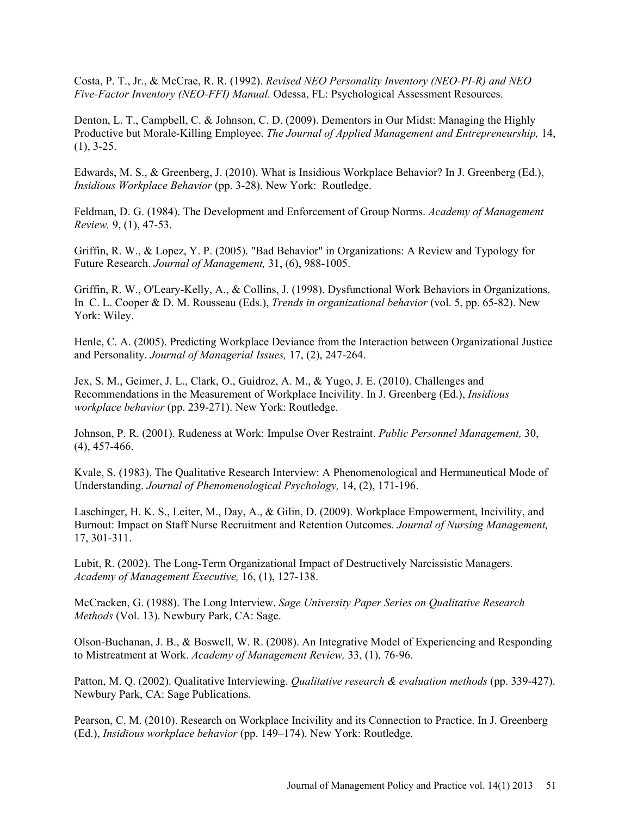Costa, P. T., Jr., & McCrae, R. R. (1992). *Revised NEO Personality Inventory (NEO-PI-R) and NEO Five-Factor Inventory (NEO-FFI) Manual.* Odessa, FL: Psychological Assessment Resources.

Denton, L. T., Campbell, C. & Johnson, C. D. (2009). Dementors in Our Midst: Managing the Highly Productive but Morale-Killing Employee. *The Journal of Applied Management and Entrepreneurship,* 14,  $(1), 3-25.$ 

Edwards, M. S., & Greenberg, J. (2010). What is Insidious Workplace Behavior? In J. Greenberg (Ed.), *Insidious Workplace Behavior* (pp. 3-28). New York: Routledge.

Feldman, D. G. (1984). The Development and Enforcement of Group Norms. *Academy of Management Review,* 9, (1), 47-53.

Griffin, R. W., & Lopez, Y. P. (2005). "Bad Behavior" in Organizations: A Review and Typology for Future Research. *Journal of Management,* 31, (6), 988-1005.

Griffin, R. W., O'Leary-Kelly, A., & Collins, J. (1998). Dysfunctional Work Behaviors in Organizations. In C. L. Cooper & D. M. Rousseau (Eds.), *Trends in organizational behavior* (vol. 5, pp. 65-82). New York: Wiley.

Henle, C. A. (2005). Predicting Workplace Deviance from the Interaction between Organizational Justice and Personality. *Journal of Managerial Issues,* 17, (2), 247-264.

Jex, S. M., Geimer, J. L., Clark, O., Guidroz, A. M., & Yugo, J. E. (2010). Challenges and Recommendations in the Measurement of Workplace Incivility. In J. Greenberg (Ed.), *Insidious workplace behavior* (pp. 239-271). New York: Routledge.

Johnson, P. R. (2001). Rudeness at Work: Impulse Over Restraint. *Public Personnel Management,* 30, (4), 457-466.

Kvale, S. (1983). The Qualitative Research Interview: A Phenomenological and Hermaneutical Mode of Understanding. *Journal of Phenomenological Psychology,* 14, (2), 171-196.

Laschinger, H. K. S., Leiter, M., Day, A., & Gilin, D. (2009). Workplace Empowerment, Incivility, and Burnout: Impact on Staff Nurse Recruitment and Retention Outcomes. *Journal of Nursing Management,*  17, 301-311.

Lubit, R. (2002). The Long-Term Organizational Impact of Destructively Narcissistic Managers. *Academy of Management Executive,* 16, (1), 127-138.

McCracken, G. (1988). The Long Interview. *Sage University Paper Series on Qualitative Research Methods* (Vol. 13). Newbury Park, CA: Sage.

Olson-Buchanan, J. B., & Boswell, W. R. (2008). An Integrative Model of Experiencing and Responding to Mistreatment at Work. *Academy of Management Review,* 33, (1), 76-96.

Patton, M. Q. (2002). Qualitative Interviewing. *Qualitative research & evaluation methods* (pp. 339-427). Newbury Park, CA: Sage Publications.

Pearson, C. M. (2010). Research on Workplace Incivility and its Connection to Practice. In J. Greenberg (Ed.), *Insidious workplace behavior* (pp. 149–174). New York: Routledge.